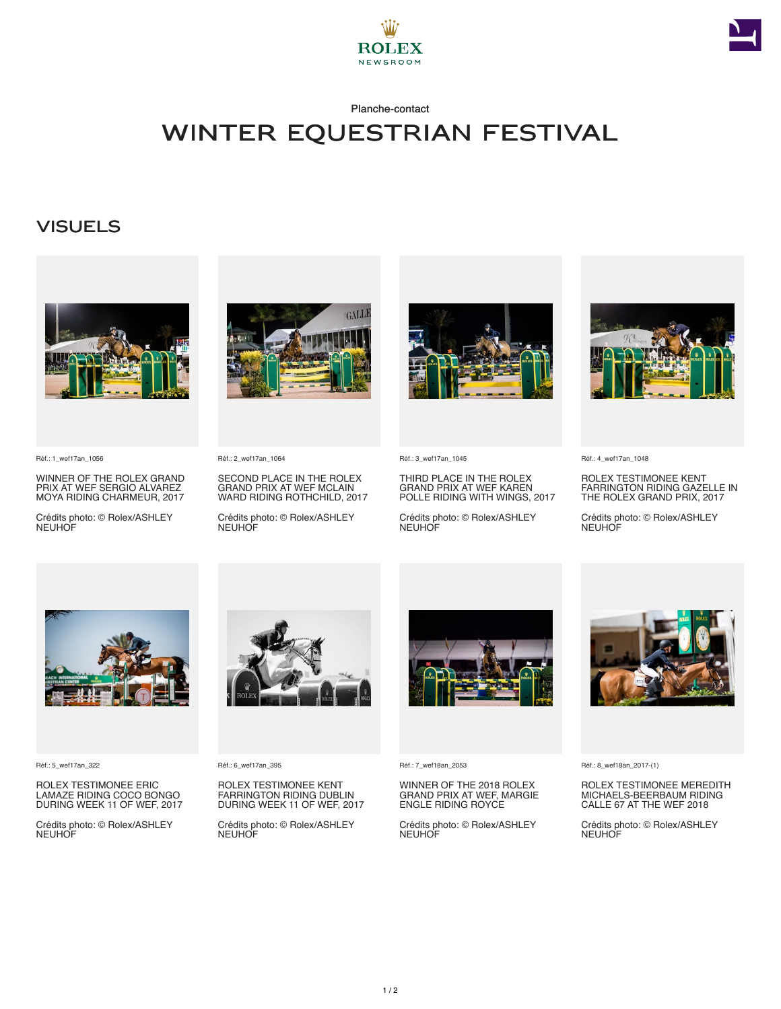



Planche-contact

## Winter Equestrian Festival

## **VISUELS**



Réf.: 1\_wef17an\_1056

WINNER OF THE ROLEX GRAND PRIX AT WEF SERGIO ALVAREZ MOYA RIDING CHARMEUR, 2017

Crédits photo: © Rolex/ASHLEY **NEUHOF** 



Réf.: 2\_wef17an\_1064

SECOND PLACE IN THE ROLEX GRAND PRIX AT WEF MCLAIN WARD RIDING ROTHCHILD, 2017

Crédits photo: © Rolex/ASHLEY **NEUHOF** 



Réf.: 3\_wef17an\_1045

THIRD PLACE IN THE ROLEX GRAND PRIX AT WEF KAREN POLLE RIDING WITH WINGS, 2017

Crédits photo: © Rolex/ASHLEY **NEUHOF** 



Réf.: 4\_wef17an\_1048

ROLEX TESTIMONEE KENT FARRINGTON RIDING GAZELLE IN THE ROLEX GRAND PRIX, 2017

Crédits photo: © Rolex/ASHLEY **NEUHOF** 



Réf.: 5\_wef17an\_322

ROLEX TESTIMONEE ERIC LAMAZE RIDING COCO BONGO DURING WEEK 11 OF WEF, 2017

Crédits photo: © Rolex/ASHLEY NEUHOF



Réf.: 6\_wef17an\_395

ROLEX TESTIMONEE KENT FARRINGTON RIDING DUBLIN DURING WEEK 11 OF WEF, 2017

Crédits photo: © Rolex/ASHLEY NEUHOF



Réf.: 7\_wef18an\_2053

WINNER OF THE 2018 ROLEX GRAND PRIX AT WEF, MARGIE ENGLE RIDING ROYCE

Crédits photo: © Rolex/ASHLEY NEUHOF



Réf.: 8\_wef18an\_2017-(1)

ROLEX TESTIMONEE MEREDITH MICHAELS-BEERBAUM RIDING CALLE 67 AT THE WEF 2018

Crédits photo: © Rolex/ASHLEY NEUHOF